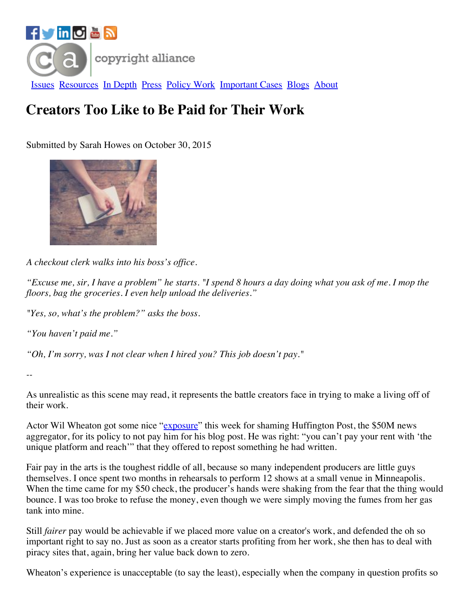

## **Creators Too Like to Be Paid for Their Work**

Submitted by Sarah Howes on October 30, 2015



*A checkout clerk walks into his boss's of ice.*

"Excuse me, sir, I have a problem" he starts. "I spend 8 hours a day doing what you ask of me. I mop the *floors, bag the groceries. I even help unload the deliveries."*

*"Yes, so, what's the problem?" asks the boss.*

*"You haven't paid me."*

*"Oh, I'm sorry, was I not clear when I hired you? This job doesn't pay."*

*--*

As unrealistic as this scene may read, it represents the battle creators face in trying to make a living off of their work.

Actor Wil Wheaton got some nice ["exposure](http://www.salon.com/2015/10/28/wil_wheaton_is_right_stop_expecting_artists_to_work_for_free_or_worse_exposure/?utm_source=facebook&utm_medium=socialflow)" this week for shaming Huffington Post, the \$50M news aggregator, for its policy to not pay him for his blog post. He was right: "you can't pay your rent with 'the unique platform and reach'" that they offered to repost something he had written.

Fair pay in the arts is the toughest riddle of all, because so many independent producers are little guys themselves. I once spent two months in rehearsals to perform 12 shows at a small venue in Minneapolis. When the time came for my \$50 check, the producer's hands were shaking from the fear that the thing would bounce. I was too broke to refuse the money, even though we were simply moving the fumes from her gas tank into mine.

Still *fairer* pay would be achievable if we placed more value on a creator's work, and defended the oh so important right to say no. Just as soon as a creator starts profiting from her work, she then has to deal with piracy sites that, again, bring her value back down to zero.

Wheaton's experience is unacceptable (to say the least), especially when the company in question profits so